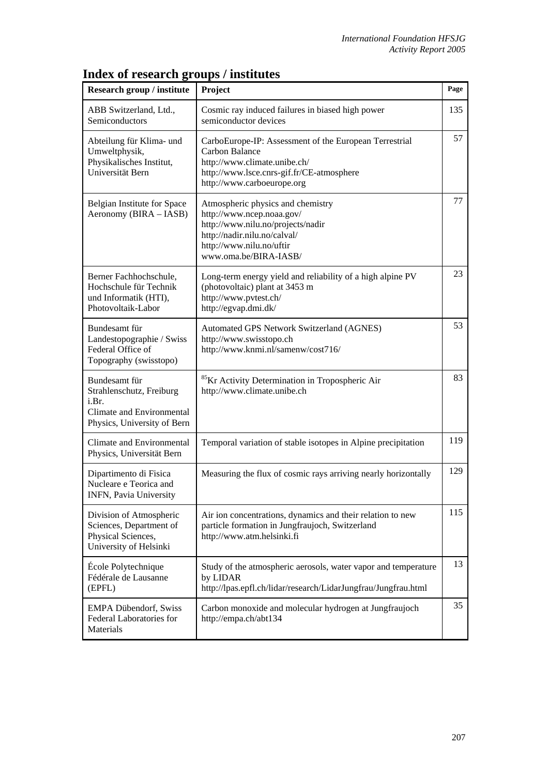| <b>Research group / institute</b>                                                                              | Project                                                                                                                                                                                  | Page |
|----------------------------------------------------------------------------------------------------------------|------------------------------------------------------------------------------------------------------------------------------------------------------------------------------------------|------|
| ABB Switzerland, Ltd.,<br>Semiconductors                                                                       | Cosmic ray induced failures in biased high power<br>semiconductor devices                                                                                                                | 135  |
| Abteilung für Klima- und<br>Umweltphysik,<br>Physikalisches Institut,<br>Universität Bern                      | CarboEurope-IP: Assessment of the European Terrestrial<br>Carbon Balance<br>http://www.climate.unibe.ch/<br>http://www.lsce.cnrs-gif.fr/CE-atmosphere<br>http://www.carboeurope.org      | 57   |
| Belgian Institute for Space<br>Aeronomy (BIRA – IASB)                                                          | Atmospheric physics and chemistry<br>http://www.ncep.noaa.gov/<br>http://www.nilu.no/projects/nadir<br>http://nadir.nilu.no/calval/<br>http://www.nilu.no/uftir<br>www.oma.be/BIRA-IASB/ | 77   |
| Berner Fachhochschule,<br>Hochschule für Technik<br>und Informatik (HTI),<br>Photovoltaik-Labor                | Long-term energy yield and reliability of a high alpine PV<br>(photovoltaic) plant at 3453 m<br>http://www.pvtest.ch/<br>http://egvap.dmi.dk/                                            | 23   |
| Bundesamt für<br>Landestopographie / Swiss<br>Federal Office of<br>Topography (swisstopo)                      | Automated GPS Network Switzerland (AGNES)<br>http://www.swisstopo.ch<br>http://www.knmi.nl/samenw/cost716/                                                                               | 53   |
| Bundesamt für<br>Strahlenschutz, Freiburg<br>i.Br.<br>Climate and Environmental<br>Physics, University of Bern | <sup>85</sup> Kr Activity Determination in Tropospheric Air<br>http://www.climate.unibe.ch                                                                                               | 83   |
| Climate and Environmental<br>Physics, Universität Bern                                                         | Temporal variation of stable isotopes in Alpine precipitation                                                                                                                            | 119  |
| Dipartimento di Fisica<br>Nucleare e Teorica and<br>INFN, Pavia University                                     | Measuring the flux of cosmic rays arriving nearly horizontally                                                                                                                           | 129  |
| Division of Atmospheric<br>Sciences, Department of<br>Physical Sciences,<br>University of Helsinki             | Air ion concentrations, dynamics and their relation to new<br>particle formation in Jungfraujoch, Switzerland<br>http://www.atm.helsinki.fi                                              | 115  |
| École Polytechnique<br>Fédérale de Lausanne<br>(EPFL)                                                          | Study of the atmospheric aerosols, water vapor and temperature<br>by LIDAR<br>http://lpas.epfl.ch/lidar/research/LidarJungfrau/Jungfrau.html                                             | 13   |
| <b>EMPA Dübendorf, Swiss</b><br>Federal Laboratories for<br>Materials                                          | Carbon monoxide and molecular hydrogen at Jungfraujoch<br>http://empa.ch/abt134                                                                                                          | 35   |

## **Index of research groups / institutes**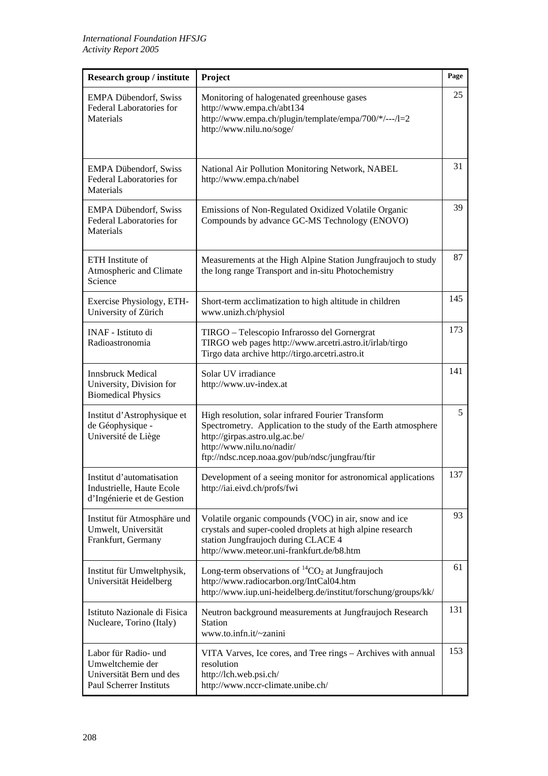| <b>Research group / institute</b>                                                               | Project                                                                                                                                                                                                                               | Page |
|-------------------------------------------------------------------------------------------------|---------------------------------------------------------------------------------------------------------------------------------------------------------------------------------------------------------------------------------------|------|
| <b>EMPA Dübendorf, Swiss</b><br>Federal Laboratories for<br>Materials                           | Monitoring of halogenated greenhouse gases<br>http://www.empa.ch/abt134<br>http://www.empa.ch/plugin/template/empa/700/*/---/l=2<br>http://www.nilu.no/soge/                                                                          | 25   |
| <b>EMPA Dübendorf, Swiss</b><br>Federal Laboratories for<br><b>Materials</b>                    | National Air Pollution Monitoring Network, NABEL<br>http://www.empa.ch/nabel                                                                                                                                                          | 31   |
| <b>EMPA Dübendorf, Swiss</b><br>Federal Laboratories for<br>Materials                           | Emissions of Non-Regulated Oxidized Volatile Organic<br>Compounds by advance GC-MS Technology (ENOVO)                                                                                                                                 | 39   |
| ETH Institute of<br>Atmospheric and Climate<br>Science                                          | Measurements at the High Alpine Station Jungfraujoch to study<br>the long range Transport and in-situ Photochemistry                                                                                                                  | 87   |
| Exercise Physiology, ETH-<br>University of Zürich                                               | Short-term acclimatization to high altitude in children<br>www.unizh.ch/physiol                                                                                                                                                       | 145  |
| INAF - Istituto di<br>Radioastronomia                                                           | TIRGO - Telescopio Infrarosso del Gornergrat<br>TIRGO web pages http://www.arcetri.astro.it/irlab/tirgo<br>Tirgo data archive http://tirgo.arcetri.astro.it                                                                           | 173  |
| <b>Innsbruck Medical</b><br>University, Division for<br><b>Biomedical Physics</b>               | Solar UV irradiance<br>http://www.uv-index.at                                                                                                                                                                                         | 141  |
| Institut d'Astrophysique et<br>de Géophysique -<br>Université de Liège                          | High resolution, solar infrared Fourier Transform<br>Spectrometry. Application to the study of the Earth atmosphere<br>http://girpas.astro.ulg.ac.be/<br>http://www.nilu.no/nadir/<br>ftp://ndsc.ncep.noaa.gov/pub/ndsc/jungfrau/ftir | 5    |
| Institut d'automatisation<br>Industrielle, Haute Ecole<br>d'Ingénierie et de Gestion            | Development of a seeing monitor for astronomical applications<br>http://iai.eivd.ch/profs/fwi                                                                                                                                         | 137  |
| Institut für Atmosphäre und<br>Umwelt, Universität<br>Frankfurt, Germany                        | Volatile organic compounds (VOC) in air, snow and ice<br>crystals and super-cooled droplets at high alpine research<br>station Jungfraujoch during CLACE 4<br>http://www.meteor.uni-frankfurt.de/b8.htm                               | 93   |
| Institut für Umweltphysik,<br>Universität Heidelberg                                            | Long-term observations of ${}^{14}CO_2$ at Jungfraujoch<br>http://www.radiocarbon.org/IntCal04.htm<br>http://www.iup.uni-heidelberg.de/institut/forschung/groups/kk/                                                                  | 61   |
| Istituto Nazionale di Fisica<br>Nucleare, Torino (Italy)                                        | Neutron background measurements at Jungfraujoch Research<br><b>Station</b><br>www.to.infn.it/~zanini                                                                                                                                  | 131  |
| Labor für Radio- und<br>Umweltchemie der<br>Universität Bern und des<br>Paul Scherrer Instituts | VITA Varves, Ice cores, and Tree rings – Archives with annual<br>resolution<br>http://lch.web.psi.ch/<br>http://www.nccr-climate.unibe.ch/                                                                                            | 153  |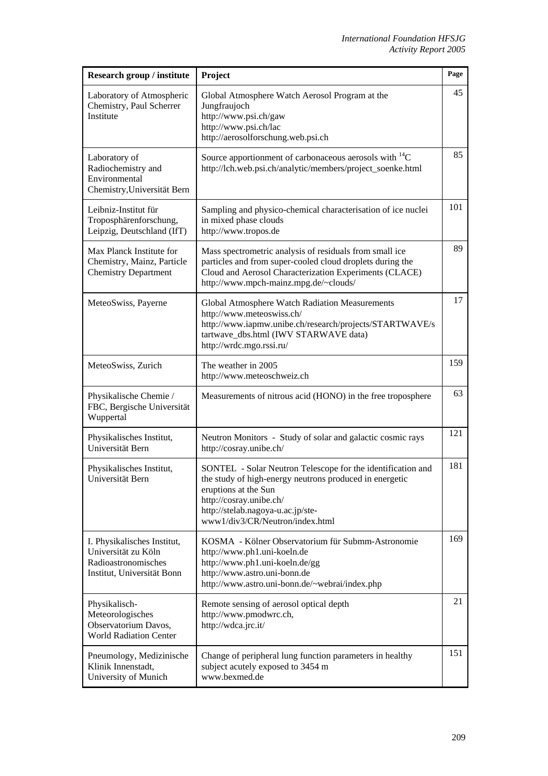| <b>Research group / institute</b>                                                                       | Project                                                                                                                                                                                                                                           | Page |
|---------------------------------------------------------------------------------------------------------|---------------------------------------------------------------------------------------------------------------------------------------------------------------------------------------------------------------------------------------------------|------|
| Laboratory of Atmospheric<br>Chemistry, Paul Scherrer<br>Institute                                      | Global Atmosphere Watch Aerosol Program at the<br>Jungfraujoch<br>http://www.psi.ch/gaw<br>http://www.psi.ch/lac<br>http://aerosolforschung.web.psi.ch                                                                                            | 45   |
| Laboratory of<br>Radiochemistry and<br>Environmental<br>Chemistry, Universität Bern                     | Source apportionment of carbonaceous aerosols with ${}^{14}C$<br>http://lch.web.psi.ch/analytic/members/project_soenke.html                                                                                                                       | 85   |
| Leibniz-Institut für<br>Troposphärenforschung,<br>Leipzig, Deutschland (IfT)                            | Sampling and physico-chemical characterisation of ice nuclei<br>in mixed phase clouds<br>http://www.tropos.de                                                                                                                                     | 101  |
| Max Planck Institute for<br>Chemistry, Mainz, Particle<br><b>Chemistry Department</b>                   | Mass spectrometric analysis of residuals from small ice<br>particles and from super-cooled cloud droplets during the<br>Cloud and Aerosol Characterization Experiments (CLACE)<br>http://www.mpch-mainz.mpg.de/~clouds/                           | 89   |
| MeteoSwiss, Payerne                                                                                     | Global Atmosphere Watch Radiation Measurements<br>http://www.meteoswiss.ch/<br>http://www.iapmw.unibe.ch/research/projects/STARTWAVE/s<br>tartwave_dbs.html (IWV STARWAVE data)<br>http://wrdc.mgo.rssi.ru/                                       | 17   |
| MeteoSwiss, Zurich                                                                                      | The weather in 2005<br>http://www.meteoschweiz.ch                                                                                                                                                                                                 | 159  |
| Physikalische Chemie /<br>FBC, Bergische Universität<br>Wuppertal                                       | Measurements of nitrous acid (HONO) in the free troposphere                                                                                                                                                                                       | 63   |
| Physikalisches Institut,<br>Universität Bern                                                            | Neutron Monitors - Study of solar and galactic cosmic rays<br>http://cosray.unibe.ch/                                                                                                                                                             | 121  |
| Physikalisches Institut,<br>Universität Bern                                                            | SONTEL - Solar Neutron Telescope for the identification and<br>the study of high-energy neutrons produced in energetic<br>eruptions at the Sun<br>http://cosray.unibe.ch/<br>http://stelab.nagoya-u.ac.jp/ste-<br>www1/div3/CR/Neutron/index.html | 181  |
| I. Physikalisches Institut,<br>Universität zu Köln<br>Radioastronomisches<br>Institut, Universität Bonn | KOSMA - Kölner Observatorium für Submm-Astronomie<br>http://www.ph1.uni-koeln.de<br>http://www.ph1.uni-koeln.de/gg<br>http://www.astro.uni-bonn.de<br>http://www.astro.uni-bonn.de/~webrai/index.php                                              | 169  |
| Physikalisch-<br>Meteorologisches<br>Observatorium Davos,<br><b>World Radiation Center</b>              | Remote sensing of aerosol optical depth<br>http://www.pmodwrc.ch,<br>http://wdca.jrc.it/                                                                                                                                                          | 21   |
| Pneumology, Medizinische<br>Klinik Innenstadt,<br>University of Munich                                  | Change of peripheral lung function parameters in healthy<br>subject acutely exposed to 3454 m<br>www.bexmed.de                                                                                                                                    | 151  |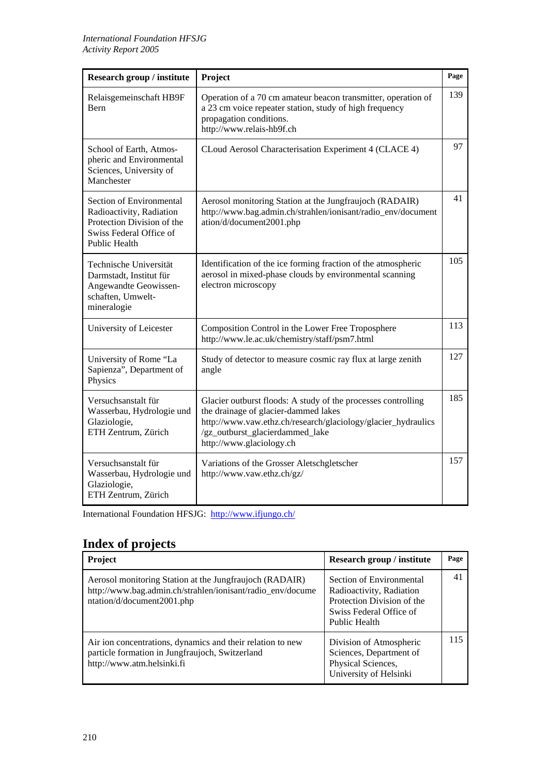| Research group / institute                                                                                                     | Project                                                                                                                                                                                                                               | Page |
|--------------------------------------------------------------------------------------------------------------------------------|---------------------------------------------------------------------------------------------------------------------------------------------------------------------------------------------------------------------------------------|------|
| Relaisgemeinschaft HB9F<br><b>Bern</b>                                                                                         | Operation of a 70 cm amateur beacon transmitter, operation of<br>a 23 cm voice repeater station, study of high frequency<br>propagation conditions.<br>http://www.relais-hb9f.ch                                                      | 139  |
| School of Earth, Atmos-<br>pheric and Environmental<br>Sciences, University of<br>Manchester                                   | CLoud Aerosol Characterisation Experiment 4 (CLACE 4)                                                                                                                                                                                 | 97   |
| Section of Environmental<br>Radioactivity, Radiation<br>Protection Division of the<br>Swiss Federal Office of<br>Public Health | Aerosol monitoring Station at the Jungfraujoch (RADAIR)<br>http://www.bag.admin.ch/strahlen/ionisant/radio_env/document<br>ation/d/document2001.php                                                                                   | 41   |
| Technische Universität<br>Darmstadt, Institut für<br>Angewandte Geowissen-<br>schaften, Umwelt-<br>mineralogie                 | Identification of the ice forming fraction of the atmospheric<br>aerosol in mixed-phase clouds by environmental scanning<br>electron microscopy                                                                                       | 105  |
| University of Leicester                                                                                                        | Composition Control in the Lower Free Troposphere<br>http://www.le.ac.uk/chemistry/staff/psm7.html                                                                                                                                    | 113  |
| University of Rome "La<br>Sapienza", Department of<br>Physics                                                                  | Study of detector to measure cosmic ray flux at large zenith<br>angle                                                                                                                                                                 | 127  |
| Versuchsanstalt für<br>Wasserbau, Hydrologie und<br>Glaziologie,<br>ETH Zentrum, Zürich                                        | Glacier outburst floods: A study of the processes controlling<br>the drainage of glacier-dammed lakes<br>http://www.vaw.ethz.ch/research/glaciology/glacier_hydraulics<br>/gz_outburst_glacierdammed_lake<br>http://www.glaciology.ch | 185  |
| Versuchsanstalt für<br>Wasserbau, Hydrologie und<br>Glaziologie,<br>ETH Zentrum, Zürich                                        | Variations of the Grosser Aletschgletscher<br>http://www.vaw.ethz.ch/gz/                                                                                                                                                              | 157  |

International Foundation HFSJG: http://www.ifjungo.ch/

## **Index of projects**

| <b>Project</b>                                                                                                                                      | Research group / institute                                                                                                     | Page |
|-----------------------------------------------------------------------------------------------------------------------------------------------------|--------------------------------------------------------------------------------------------------------------------------------|------|
| Aerosol monitoring Station at the Jungfraujoch (RADAIR)<br>http://www.bag.admin.ch/strahlen/ionisant/radio_env/docume<br>ntation/d/document2001.php | Section of Environmental<br>Radioactivity, Radiation<br>Protection Division of the<br>Swiss Federal Office of<br>Public Health | 41   |
| Air ion concentrations, dynamics and their relation to new<br>particle formation in Jungfraujoch, Switzerland<br>http://www.atm.helsinki.fi         | Division of Atmospheric<br>Sciences, Department of<br>Physical Sciences,<br>University of Helsinki                             | 115  |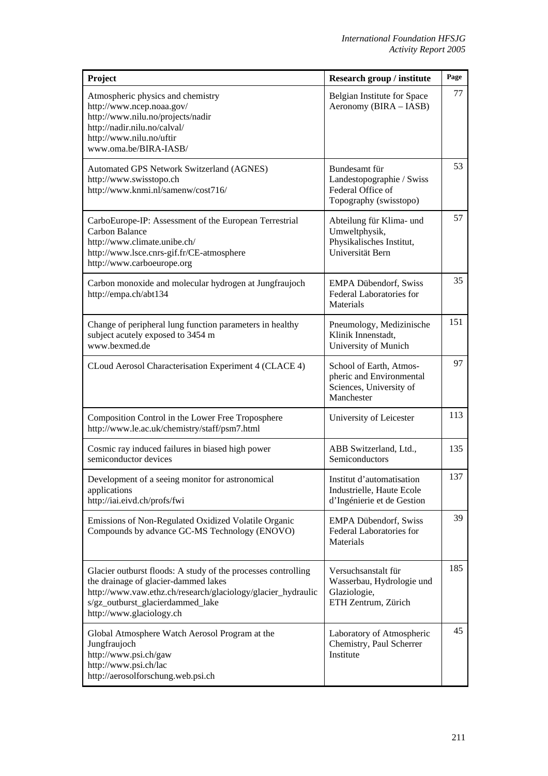| Project                                                                                                                                                                                                                               | Research group / institute                                                                   | Page |
|---------------------------------------------------------------------------------------------------------------------------------------------------------------------------------------------------------------------------------------|----------------------------------------------------------------------------------------------|------|
| Atmospheric physics and chemistry<br>http://www.ncep.noaa.gov/<br>http://www.nilu.no/projects/nadir<br>http://nadir.nilu.no/calval/<br>http://www.nilu.no/uftir<br>www.oma.be/BIRA-IASB/                                              | Belgian Institute for Space<br>Aeronomy (BIRA - IASB)                                        | 77   |
| Automated GPS Network Switzerland (AGNES)<br>http://www.swisstopo.ch<br>http://www.knmi.nl/samenw/cost716/                                                                                                                            | Bundesamt für<br>Landestopographie / Swiss<br>Federal Office of<br>Topography (swisstopo)    | 53   |
| CarboEurope-IP: Assessment of the European Terrestrial<br>Carbon Balance<br>http://www.climate.unibe.ch/<br>http://www.lsce.cnrs-gif.fr/CE-atmosphere<br>http://www.carboeurope.org                                                   | Abteilung für Klima- und<br>Umweltphysik,<br>Physikalisches Institut,<br>Universität Bern    | 57   |
| Carbon monoxide and molecular hydrogen at Jungfraujoch<br>http://empa.ch/abt134                                                                                                                                                       | <b>EMPA Dübendorf, Swiss</b><br>Federal Laboratories for<br>Materials                        | 35   |
| Change of peripheral lung function parameters in healthy<br>subject acutely exposed to 3454 m<br>www.bexmed.de                                                                                                                        | Pneumology, Medizinische<br>Klinik Innenstadt,<br>University of Munich                       | 151  |
| CLoud Aerosol Characterisation Experiment 4 (CLACE 4)                                                                                                                                                                                 | School of Earth, Atmos-<br>pheric and Environmental<br>Sciences, University of<br>Manchester | 97   |
| Composition Control in the Lower Free Troposphere<br>http://www.le.ac.uk/chemistry/staff/psm7.html                                                                                                                                    | University of Leicester                                                                      | 113  |
| Cosmic ray induced failures in biased high power<br>semiconductor devices                                                                                                                                                             | ABB Switzerland, Ltd.,<br>Semiconductors                                                     | 135  |
| Development of a seeing monitor for astronomical<br>applications<br>http://iai.eivd.ch/profs/fwi                                                                                                                                      | Institut d'automatisation<br>Industrielle, Haute Ecole<br>d'Ingénierie et de Gestion         | 137  |
| Emissions of Non-Regulated Oxidized Volatile Organic<br>Compounds by advance GC-MS Technology (ENOVO)                                                                                                                                 | <b>EMPA Dübendorf, Swiss</b><br>Federal Laboratories for<br>Materials                        | 39   |
| Glacier outburst floods: A study of the processes controlling<br>the drainage of glacier-dammed lakes<br>http://www.vaw.ethz.ch/research/glaciology/glacier_hydraulic<br>s/gz_outburst_glacierdammed_lake<br>http://www.glaciology.ch | Versuchsanstalt für<br>Wasserbau, Hydrologie und<br>Glaziologie,<br>ETH Zentrum, Zürich      | 185  |
| Global Atmosphere Watch Aerosol Program at the<br>Jungfraujoch<br>http://www.psi.ch/gaw<br>http://www.psi.ch/lac<br>http://aerosolforschung.web.psi.ch                                                                                | Laboratory of Atmospheric<br>Chemistry, Paul Scherrer<br>Institute                           | 45   |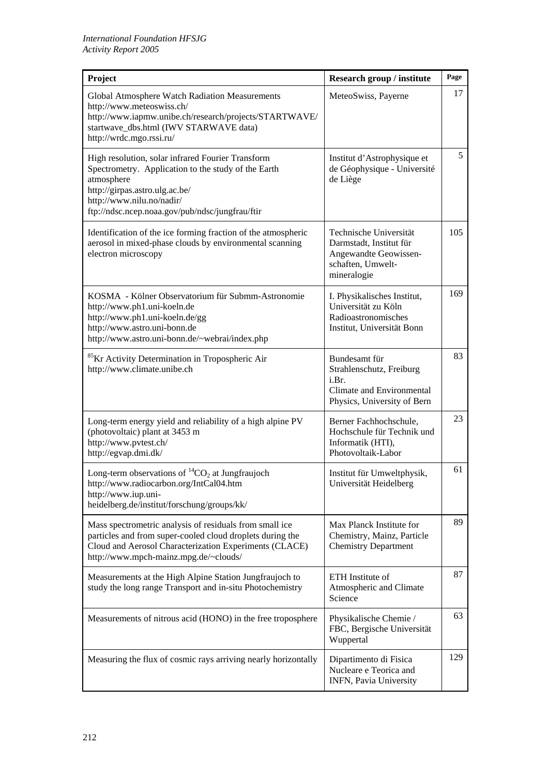| Project                                                                                                                                                                                                                                  | <b>Research group / institute</b>                                                                                 | Page |
|------------------------------------------------------------------------------------------------------------------------------------------------------------------------------------------------------------------------------------------|-------------------------------------------------------------------------------------------------------------------|------|
| Global Atmosphere Watch Radiation Measurements<br>http://www.meteoswiss.ch/<br>http://www.iapmw.unibe.ch/research/projects/STARTWAVE/<br>startwave_dbs.html (IWV STARWAVE data)<br>http://wrdc.mgo.rssi.ru/                              | MeteoSwiss, Payerne                                                                                               | 17   |
| High resolution, solar infrared Fourier Transform<br>Spectrometry. Application to the study of the Earth<br>atmosphere<br>http://girpas.astro.ulg.ac.be/<br>http://www.nilu.no/nadir/<br>ftp://ndsc.ncep.noaa.gov/pub/ndsc/jungfrau/ftir | Institut d'Astrophysique et<br>de Géophysique - Université<br>de Liège                                            | 5    |
| Identification of the ice forming fraction of the atmospheric<br>aerosol in mixed-phase clouds by environmental scanning<br>electron microscopy                                                                                          | Technische Universität<br>Darmstadt, Institut für<br>Angewandte Geowissen-<br>schaften, Umwelt-<br>mineralogie    | 105  |
| KOSMA - Kölner Observatorium für Submm-Astronomie<br>http://www.ph1.uni-koeln.de<br>http://www.ph1.uni-koeln.de/gg<br>http://www.astro.uni-bonn.de<br>http://www.astro.uni-bonn.de/~webrai/index.php                                     | I. Physikalisches Institut,<br>Universität zu Köln<br>Radioastronomisches<br>Institut, Universität Bonn           | 169  |
| <sup>85</sup> Kr Activity Determination in Tropospheric Air<br>http://www.climate.unibe.ch                                                                                                                                               | Bundesamt für<br>Strahlenschutz, Freiburg<br>$i$ .Br.<br>Climate and Environmental<br>Physics, University of Bern | 83   |
| Long-term energy yield and reliability of a high alpine PV<br>(photovoltaic) plant at 3453 m<br>http://www.pvtest.ch/<br>http://egvap.dmi.dk/                                                                                            | Berner Fachhochschule,<br>Hochschule für Technik und<br>Informatik (HTI),<br>Photovoltaik-Labor                   | 23   |
| Long-term observations of ${}^{14}CO_2$ at Jungfraujoch<br>http://www.radiocarbon.org/IntCal04.htm<br>http://www.iup.uni-<br>heidelberg.de/institut/forschung/groups/kk/                                                                 | Institut für Umweltphysik,<br>Universität Heidelberg                                                              | 61   |
| Mass spectrometric analysis of residuals from small ice<br>particles and from super-cooled cloud droplets during the<br>Cloud and Aerosol Characterization Experiments (CLACE)<br>http://www.mpch-mainz.mpg.de/~clouds/                  | Max Planck Institute for<br>Chemistry, Mainz, Particle<br><b>Chemistry Department</b>                             | 89   |
| Measurements at the High Alpine Station Jungfraujoch to<br>study the long range Transport and in-situ Photochemistry                                                                                                                     | ETH Institute of<br>Atmospheric and Climate<br>Science                                                            | 87   |
| Measurements of nitrous acid (HONO) in the free troposphere                                                                                                                                                                              | Physikalische Chemie /<br>FBC, Bergische Universität<br>Wuppertal                                                 | 63   |
| Measuring the flux of cosmic rays arriving nearly horizontally                                                                                                                                                                           | Dipartimento di Fisica<br>Nucleare e Teorica and<br>INFN, Pavia University                                        | 129  |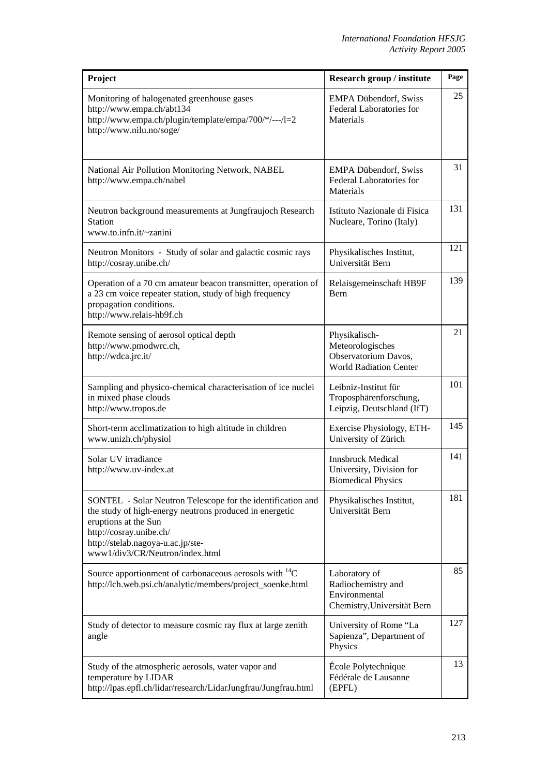| Project                                                                                                                                                                                                                                           | <b>Research group / institute</b>                                                          | Page |
|---------------------------------------------------------------------------------------------------------------------------------------------------------------------------------------------------------------------------------------------------|--------------------------------------------------------------------------------------------|------|
| Monitoring of halogenated greenhouse gases<br>http://www.empa.ch/abt134<br>http://www.empa.ch/plugin/template/empa/700/*/---/l=2<br>http://www.nilu.no/soge/                                                                                      | <b>EMPA Dübendorf, Swiss</b><br>Federal Laboratories for<br><b>Materials</b>               | 25   |
| National Air Pollution Monitoring Network, NABEL<br>http://www.empa.ch/nabel                                                                                                                                                                      | <b>EMPA Dübendorf, Swiss</b><br>Federal Laboratories for<br>Materials                      | 31   |
| Neutron background measurements at Jungfraujoch Research<br>Station<br>www.to.infn.it/~zanini                                                                                                                                                     | Istituto Nazionale di Fisica<br>Nucleare, Torino (Italy)                                   | 131  |
| Neutron Monitors - Study of solar and galactic cosmic rays<br>http://cosray.unibe.ch/                                                                                                                                                             | Physikalisches Institut,<br>Universität Bern                                               | 121  |
| Operation of a 70 cm amateur beacon transmitter, operation of<br>a 23 cm voice repeater station, study of high frequency<br>propagation conditions.<br>http://www.relais-hb9f.ch                                                                  | Relaisgemeinschaft HB9F<br><b>B</b> ern                                                    | 139  |
| Remote sensing of aerosol optical depth<br>http://www.pmodwrc.ch,<br>http://wdca.jrc.it/                                                                                                                                                          | Physikalisch-<br>Meteorologisches<br>Observatorium Davos,<br><b>World Radiation Center</b> | 21   |
| Sampling and physico-chemical characterisation of ice nuclei<br>in mixed phase clouds<br>http://www.tropos.de                                                                                                                                     | Leibniz-Institut für<br>Troposphärenforschung,<br>Leipzig, Deutschland (IfT)               | 101  |
| Short-term acclimatization to high altitude in children<br>www.unizh.ch/physiol                                                                                                                                                                   | Exercise Physiology, ETH-<br>University of Zürich                                          | 145  |
| Solar UV irradiance<br>http://www.uv-index.at                                                                                                                                                                                                     | <b>Innsbruck Medical</b><br>University, Division for<br><b>Biomedical Physics</b>          | 141  |
| SONTEL - Solar Neutron Telescope for the identification and<br>the study of high-energy neutrons produced in energetic<br>eruptions at the Sun<br>http://cosray.unibe.ch/<br>http://stelab.nagoya-u.ac.jp/ste-<br>www1/div3/CR/Neutron/index.html | Physikalisches Institut,<br>Universität Bern                                               | 181  |
| Source apportionment of carbonaceous aerosols with ${}^{14}C$<br>http://lch.web.psi.ch/analytic/members/project_soenke.html                                                                                                                       | Laboratory of<br>Radiochemistry and<br>Environmental<br>Chemistry, Universität Bern        | 85   |
| Study of detector to measure cosmic ray flux at large zenith<br>angle                                                                                                                                                                             | University of Rome "La<br>Sapienza", Department of<br>Physics                              | 127  |
| Study of the atmospheric aerosols, water vapor and<br>temperature by LIDAR<br>http://lpas.epfl.ch/lidar/research/LidarJungfrau/Jungfrau.html                                                                                                      | École Polytechnique<br>Fédérale de Lausanne<br>(EPFL)                                      | 13   |